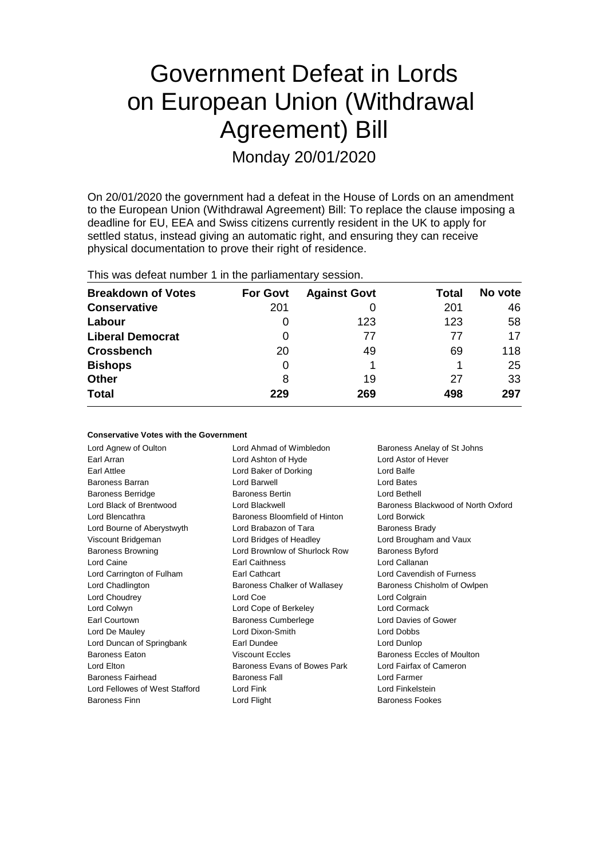# Government Defeat in Lords on European Union (Withdrawal Agreement) Bill Monday 20/01/2020

On 20/01/2020 the government had a defeat in the House of Lords on an amendment to the European Union (Withdrawal Agreement) Bill: To replace the clause imposing a deadline for EU, EEA and Swiss citizens currently resident in the UK to apply for settled status, instead giving an automatic right, and ensuring they can receive physical documentation to prove their right of residence.

| <b>Breakdown of Votes</b> | <b>For Govt</b> | <b>Against Govt</b> | Total | No vote |
|---------------------------|-----------------|---------------------|-------|---------|
| <b>Conservative</b>       | 201             |                     | 201   | 46      |
| Labour                    | 0               | 123                 | 123   | 58      |
| <b>Liberal Democrat</b>   | 0               | 77                  | 77    | 17      |
| <b>Crossbench</b>         | 20              | 49                  | 69    | 118     |
| <b>Bishops</b>            | 0               |                     |       | 25      |
| Other                     | 8               | 19                  | 27    | 33      |
| <b>Total</b>              | 229             | 269                 | 498   | 297     |

| <b>Conservative Votes with the Government</b> |  |  |  |  |  |
|-----------------------------------------------|--|--|--|--|--|
|-----------------------------------------------|--|--|--|--|--|

| Lord Agnew of Oulton           | Lord Ahmad of Wimbledon       | Baroness Anelay of St Johns        |
|--------------------------------|-------------------------------|------------------------------------|
| Earl Arran                     | Lord Ashton of Hyde           | Lord Astor of Hever                |
| Earl Attlee                    | Lord Baker of Dorking         | Lord Balfe                         |
| Baroness Barran                | Lord Barwell                  | Lord Bates                         |
| <b>Baroness Berridge</b>       | <b>Baroness Bertin</b>        | Lord Bethell                       |
| Lord Black of Brentwood        | Lord Blackwell                | Baroness Blackwood of North Oxford |
| Lord Blencathra                | Baroness Bloomfield of Hinton | Lord Borwick                       |
| Lord Bourne of Aberystwyth     | Lord Brabazon of Tara         | <b>Baroness Brady</b>              |
| Viscount Bridgeman             | Lord Bridges of Headley       | Lord Brougham and Vaux             |
| Baroness Browning              | Lord Brownlow of Shurlock Row | <b>Baroness Byford</b>             |
| Lord Caine                     | <b>Earl Caithness</b>         | Lord Callanan                      |
| Lord Carrington of Fulham      | Earl Cathcart                 | Lord Cavendish of Furness          |
| Lord Chadlington               | Baroness Chalker of Wallasey  | Baroness Chisholm of Owlpen        |
| Lord Choudrey                  | Lord Coe                      | Lord Colgrain                      |
| Lord Colwyn                    | Lord Cope of Berkeley         | Lord Cormack                       |
| Earl Courtown                  | <b>Baroness Cumberlege</b>    | Lord Davies of Gower               |
| Lord De Mauley                 | Lord Dixon-Smith              | Lord Dobbs                         |
| Lord Duncan of Springbank      | Earl Dundee                   | Lord Dunlop                        |
| Baroness Eaton                 | <b>Viscount Eccles</b>        | Baroness Eccles of Moulton         |
| Lord Elton                     | Baroness Evans of Bowes Park  | Lord Fairfax of Cameron            |
| <b>Baroness Fairhead</b>       | <b>Baroness Fall</b>          | Lord Farmer                        |
| Lord Fellowes of West Stafford | Lord Fink                     | Lord Finkelstein                   |
| <b>Baroness Finn</b>           | Lord Flight                   | <b>Baroness Fookes</b>             |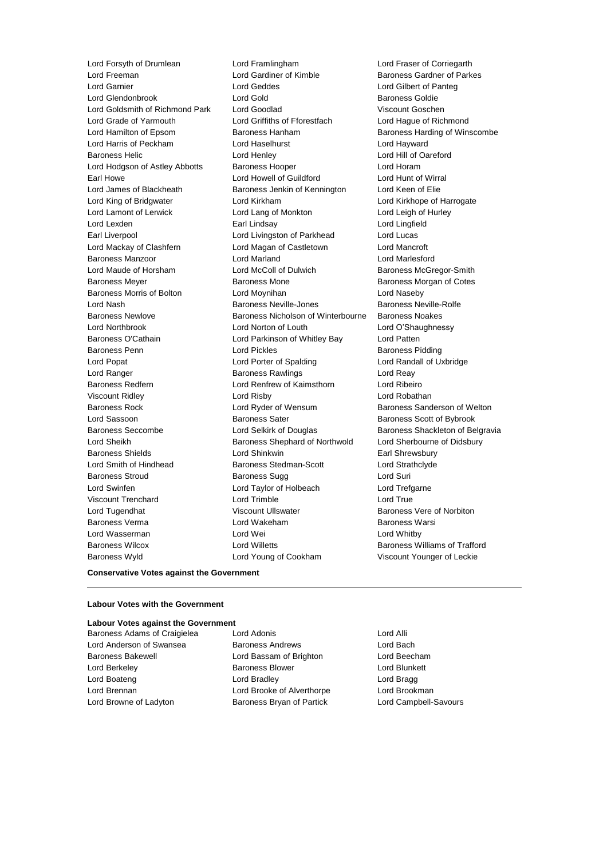Lord Forsyth of Drumlean Lord Framlingham Lord Fraser of Corriegarth Lord Freeman **Lord Gardiner of Kimble** Baroness Gardner of Parkes Lord Garnier Lord Geddes Lord Gilbert of Panteg Lord Glendonbrook Lord Gold Baroness Goldie Lord Goldsmith of Richmond Park Lord Goodlad Viscount Goschen Lord Grade of Yarmouth Lord Griffiths of Fforestfach Lord Hague of Richmond Lord Hamilton of Epsom **Baroness Hanham** Baroness Hanham Baroness Harding of Winscombe Lord Harris of Peckham Lord Haselhurst Lord Hayward Baroness Helic Lord Henley Lord Hill of Oareford Lord Hodgson of Astley Abbotts Baroness Hooper Lord Horam Earl Howe Lord Howell of Guildford Lord Hunt of Wirral Lord James of Blackheath Baroness Jenkin of Kennington Lord Keen of Elie Lord King of Bridgwater Lord Kirkham Lord Kirkhope of Harrogate Lord Lamont of Lerwick Lord Lang of Monkton Lord Leigh of Hurley Lord Lexden Earl Lindsay Lord Lingfield Earl Liverpool Lord Livingston of Parkhead Lord Lucas Lord Mackay of Clashfern Lord Magan of Castletown Lord Mancroft Baroness Manzoor Lord Marland Lord Marlesford Lord Maude of Horsham **Lord McColl of Dulwich Baroness McGregor-Smith** Baroness Meyer Baroness Mone Baroness Morgan of Cotes Baroness Morris of Bolton Lord Moynihan Lord Naseby Lord Nash Baroness Neville-Jones Baroness Neville-Rolfe Baroness Newlove Baroness Nicholson of Winterbourne Baroness Noakes Lord Northbrook Lord Norton of Louth Lord O'Shaughnessy Baroness O'Cathain Lord Parkinson of Whitley Bay Lord Patten Baroness Penn **Baroness Pickles** Lord Pickles **Baroness Pidding** Baroness Pidding Lord Popat Lord Porter of Spalding Lord Randall of Uxbridge Lord Ranger **Baroness Rawlings** Lord Reay Baroness Redfern Lord Renfrew of Kaimsthorn Lord Ribeiro Viscount Ridley Lord Risby Lord Robathan Baroness Rock Lord Ryder of Wensum Baroness Sanderson of Welton Lord Sassoon Baroness Sater Baroness Scott of Bybrook Baroness Seccombe **Lord Selkirk of Douglas** Baroness Shackleton of Belgravia Lord Sheikh Baroness Shephard of Northwold Lord Sherbourne of Didsbury Baroness Shields **Earl Shinkwin** Lord Shinkwin **Earl Shrewsbury** Lord Smith of Hindhead Baroness Stedman-Scott Lord Strathclyde Baroness Stroud **Baroness Sugg Community** Baroness Sugg Lord Suri Lord Swinfen Lord Taylor of Holbeach Lord Trefgarne Viscount Trenchard Lord Trimble Lord True Lord Tugendhat Viscount Ullswater Baroness Vere of Norbiton Baroness Verma Lord Wakeham Baroness Warsi Lord Wasserman Lord Wei Lord Whitby Baroness Wilcox **Micox** Lord Willetts **Baroness Williams of Trafford** Baroness Wyld **Communist Communist Cookham** Viscount Younger of Leckie

**Conservative Votes against the Government**

### **Labour Votes with the Government**

### **Labour Votes against the Government**

Lord Anderson of Swansea Baroness Andrews Lord Bach Baroness Bakewell **Lord Bassam of Brighton** Lord Beecham Lord Berkeley **Baroness Blower Baroness Blower Lord Blunkett** Lord Boateng **Lord Bradley** Cord Bradley **Lord Bragg** Lord Brennan Lord Brooke of Alverthorpe Lord Brookman Lord Browne of Ladyton Baroness Bryan of Partick Lord Campbell-Savours

Baroness Adams of Craigielea Lord Adonis Lord Access Lord Alli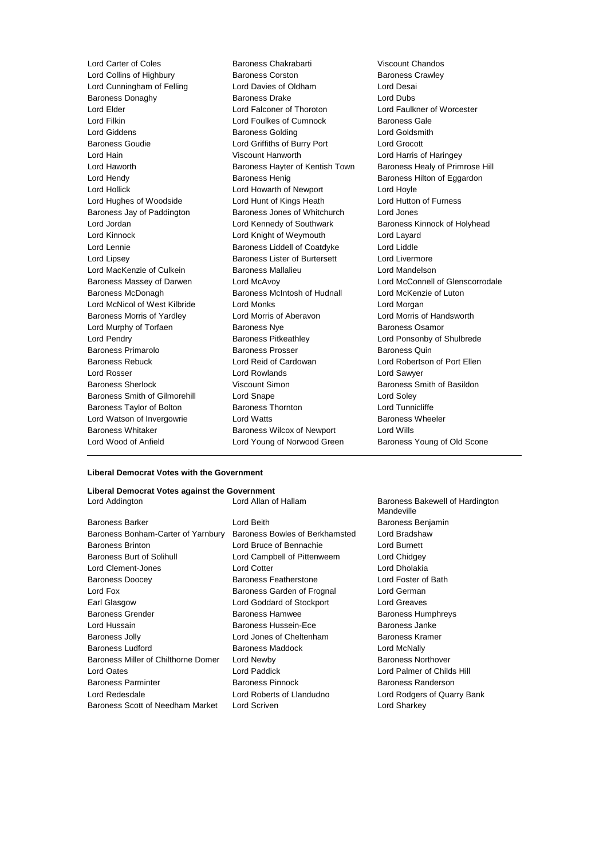Lord Collins of Highbury Baroness Corston<br>
Lord Cunningham of Felling Lord Davies of Oldham Lord Cunningham of Felling Lord Davies of Oldham Lord Desai Baroness Donaghy Baroness Drake Lord Elder **Lord Elder** Lord Falconer of Thoroton **Lord Faulkner of Worcester**<br>
Lord Foulkes of Cumnock **Baroness** Gale Lord Filkin Lord Foulkes of Cumnock<br>
Lord Giddens<br>
Baroness Golding Baroness Goudie Lord Griffiths of Burry Port Lord Grocott Lord Hain Viscount Hanworth Lord Harris of Haringey Lord Haworth **Baroness Hayter of Kentish Town** Baroness Healy of Primrose Hill Lord Hendy **Baroness Henig** Baroness Henig Baroness Hilton of Eggardon<br>
Baroness Hilton of Eggardon<br>
Lord Hovle Lord Hove Lord Hughes of Woodside Lord Hunt of Kings Heath Lord Hutton of Furness Baroness Jay of Paddington Baroness Jones of Whitchurch Lord Jones Lord Jordan **Lord Kennedy of Southwark** Baroness Kinnock of Holyhead Lord Kinnock Lord Knight of Weymouth Lord Layard Lord Lennie Baroness Liddell of Coatdyke Lord Liddle Lord Lipsey Baroness Lister of Burtersett Lord Livermore Lord MacKenzie of Culkein **Baroness Mallalieu** Lord Mandelson Baroness McDonagh Baroness McIntosh of Hudnall Lord McKenzie of Luton Lord McNicol of West Kilbride Lord Monks Lord Morgan Baroness Morris of Yardley Lord Morris of Aberavon Lord Morris of Handsworth Lord Murphy of Torfaen **Baroness Nye** Baroness Osamor Lord Pendry **Baroness Pitkeathley Baroness Pitkeathley Lord Ponsonby of Shulbrede** Baroness Primarolo **Baroness Prosser** Baroness Prosser Baroness Quin Baroness Rebuck Lord Reid of Cardowan Lord Robertson of Port Ellen Baroness Sherlock **Communist State Communist Communist Communist Communist Communist Communist Communist Communist Communist Communist Communist Communist Communist Communist Communist Communist Communist Communist Communi** Baroness Smith of Gilmorehill Lord Snape Lord Soley Baroness Taylor of Bolton Baroness Thornton baroness Thomas Lord Tunnicliffe Lord Watson of Invergowrie **Lord Watts** Lord Watts **Baroness Wheeler** Baroness Whitaker Baroness Wilcox of Newport Lord Wills Lord Wood of Anfield Lord Young of Norwood Green Baroness Young of Old Scone

Lord Carter of Coles **Baroness Chakrabarti** Viscount Chandos<br>
Lord Collins of Highbury **Baroness Corston** Baroness Crawley Baroness Golding **Baroness** Golding **Lord Goldsmith** Lord Howarth of Newport Lord Hoyle Lord Rowlands **Lord Sawyer** 

Baroness Massey of Darwen Lord McAvoy Connell of Glenscorrodale Lord McConnell of Glenscorrodale

### **Liberal Democrat Votes with the Government**

| Liberal Democrat Votes against the Government |                                |                                               |
|-----------------------------------------------|--------------------------------|-----------------------------------------------|
| Lord Addington                                | Lord Allan of Hallam           | Baroness Bakewell of Hardington<br>Mandeville |
| <b>Baroness Barker</b>                        | Lord Beith                     | Baroness Benjamin                             |
| Baroness Bonham-Carter of Yarnbury            | Baroness Bowles of Berkhamsted | Lord Bradshaw                                 |
| <b>Baroness Brinton</b>                       | Lord Bruce of Bennachie        | Lord Burnett                                  |
| <b>Baroness Burt of Solihull</b>              | Lord Campbell of Pittenweem    | Lord Chidgey                                  |
| Lord Clement-Jones                            | Lord Cotter                    | Lord Dholakia                                 |
| <b>Baroness Doocey</b>                        | <b>Baroness Featherstone</b>   | Lord Foster of Bath                           |
| Lord Fox                                      | Baroness Garden of Frognal     | Lord German                                   |
| Earl Glasgow                                  | Lord Goddard of Stockport      | Lord Greaves                                  |
| <b>Baroness Grender</b>                       | Baroness Hamwee                | <b>Baroness Humphreys</b>                     |
| Lord Hussain                                  | Baroness Hussein-Ece           | <b>Baroness Janke</b>                         |
| Baroness Jolly                                | Lord Jones of Cheltenham       | Baroness Kramer                               |
| <b>Baroness Ludford</b>                       | <b>Baroness Maddock</b>        | Lord McNally                                  |
| Baroness Miller of Chilthorne Domer           | Lord Newby                     | Baroness Northover                            |
| Lord Oates                                    | Lord Paddick                   | Lord Palmer of Childs Hill                    |
| <b>Baroness Parminter</b>                     | Baroness Pinnock               | Baroness Randerson                            |
| Lord Redesdale                                | Lord Roberts of Llandudno      | Lord Rodgers of Quarry Bank                   |
| Baroness Scott of Needham Market              | Lord Scriven                   | Lord Sharkey                                  |